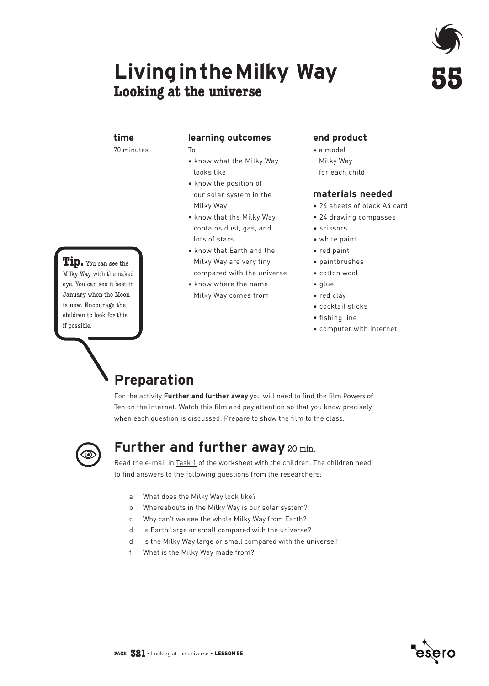## **LivingintheMilky Way Looking at the universe**



#### **time**

70 minutes

#### **learning outcomes**

 $To:$ 

- know what the Milky Way looks like
- know the position of our solar system in the Milky Way
- know that the Milky Way contains dust, gas, and lots of stars
- know that Earth and the Milky Way are very tiny compared with the universe
- know where the name Milky Way comes from

### **end product**

- a model Milky Way
- for each child

#### **materials needed**

- 24 sheets of black A4 card
- 24 drawing compasses
- scissors
- white paint
- red paint
- paintbrushes
- cotton wool
- glue
- red clay
- cocktail sticks
- fishing line
- computer with internet

## **Preparation**

For the activity **Further and further away** you will need to find the film Powers of Ten on the internet. Watch this film and pay attention so that you know precisely when each question is discussed. Prepare to show the film to the class.



### **Further and further away** 20 min.

Read the e-mail in  $Task 1$  of the worksheet with the children. The children need</u> to find answers to the following questions from the researchers:

- a What does the Milky Way look like?
- b Whereabouts in the Milky Way is our solar system?
- c Why can't we see the whole Milky Way from Earth?
- d Is Earth large or small compared with the universe?
- d Is the Milky Way large or small compared with the universe?
- f What is the Milky Way made from?



**Tip.** You can see the Milky Way with the naked eye. You can see it best in January when the Moon is new. Encourage the children to look for this if possible.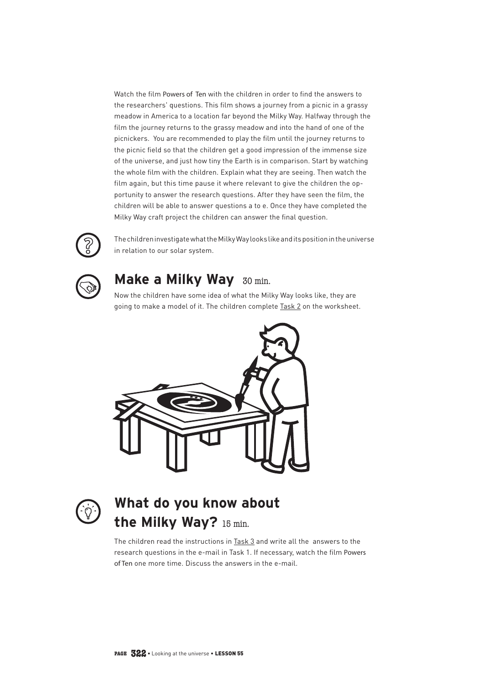Watch the film Powers of Ten with the children in order to find the answers to the researchers' questions. This film shows a journey from a picnic in a grassy meadow in America to a location far beyond the Milky Way. Halfway through the film the journey returns to the grassy meadow and into the hand of one of the picnickers. You are recommended to play the film until the journey returns to the picnic field so that the children get a good impression of the immense size of the universe, and just how tiny the Earth is in comparison. Start by watching the whole film with the children. Explain what they are seeing. Then watch the film again, but this time pause it where relevant to give the children the opportunity to answer the research questions. After they have seen the film, the children will be able to answer questions a to e. Once they have completed the Milky Way craft project the children can answer the final question.



The children investigate what the Milky Way looks like and its position in the universe in relation to our solar system.



## **Make a Milky Way** 30 min.

Now the children have some idea of what the Milky Way looks like, they are going to make a model of it. The children complete Task 2 on the worksheet.





## **What do you know about the Milky Way?** 15 min.

The children read the instructions in Task 3 and write all the answers to the research questions in the e-mail in Task 1. If necessary, watch the film Powers of Ten one more time. Discuss the answers in the e-mail.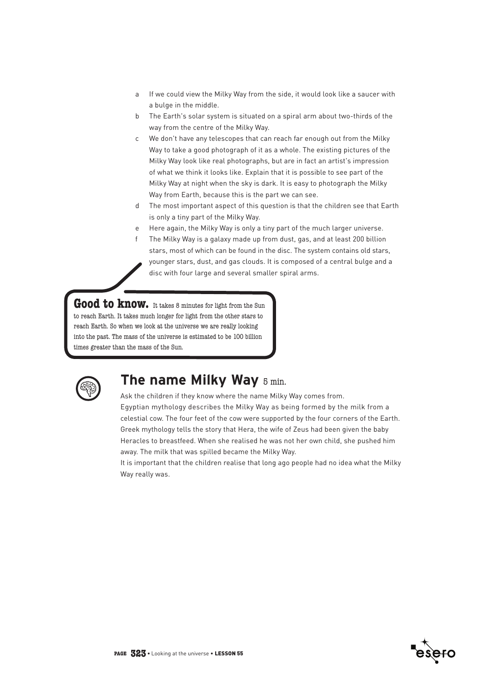- a If we could view the Milky Way from the side, it would look like a saucer with a bulge in the middle.
- b The Earth's solar system is situated on a spiral arm about two-thirds of the way from the centre of the Milky Way.
- c We don't have any telescopes that can reach far enough out from the Milky Way to take a good photograph of it as a whole. The existing pictures of the Milky Way look like real photographs, but are in fact an artist's impression of what we think it looks like. Explain that it is possible to see part of the Milky Way at night when the sky is dark. It is easy to photograph the Milky Way from Earth, because this is the part we can see.
- d The most important aspect of this question is that the children see that Earth is only a tiny part of the Milky Way.
- e Here again, the Milky Way is only a tiny part of the much larger universe.
- The Milky Way is a galaxy made up from dust, gas, and at least 200 billion stars, most of which can be found in the disc. The system contains old stars, younger stars, dust, and gas clouds. It is composed of a central bulge and a disc with four large and several smaller spiral arms.

Good to know. It takes 8 minutes for light from the Sun to reach Earth. It takes much longer for light from the other stars to reach Earth. So when we look at the universe we are really looking into the past. The mass of the universe is estimated to be 100 billion times greater than the mass of the Sun.



### **The name Milky Way** 5 min.

Ask the children if they know where the name Milky Way comes from. Egyptian mythology describes the Milky Way as being formed by the milk from a celestial cow. The four feet of the cow were supported by the four corners of the Earth. Greek mythology tells the story that Hera, the wife of Zeus had been given the baby Heracles to breastfeed. When she realised he was not her own child, she pushed him away. The milk that was spilled became the Milky Way.

It is important that the children realise that long ago people had no idea what the Milky Way really was.

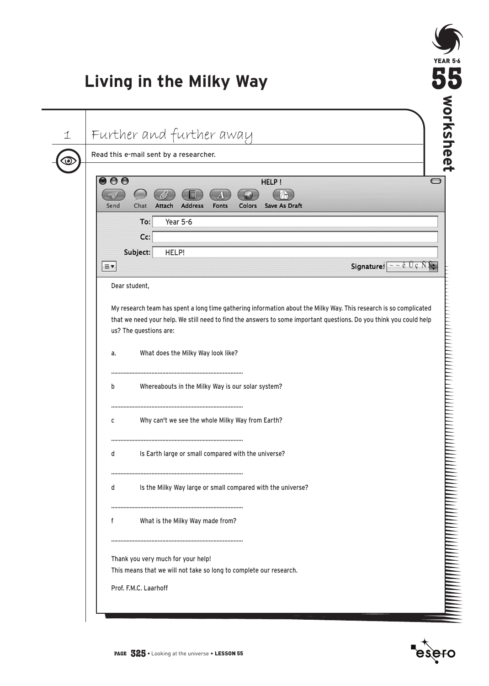# **Living in the Milky Way**

|                   | Read this e-mail sent by a researcher.                                                                                                                                                                                                  |
|-------------------|-----------------------------------------------------------------------------------------------------------------------------------------------------------------------------------------------------------------------------------------|
| $\bm{\mathbb{O}}$ |                                                                                                                                                                                                                                         |
|                   | $\bullet\bullet\bullet$<br>HELP!<br>$\bigcirc$<br>Send<br>Chat<br>Attach<br><b>Address</b><br>Save As Draft<br><b>Fonts</b><br>Colors                                                                                                   |
|                   | Year 5-6<br>To:                                                                                                                                                                                                                         |
|                   | Cc:                                                                                                                                                                                                                                     |
|                   | Subject:<br>HELP!                                                                                                                                                                                                                       |
|                   | Signature: $\sim$ $\frac{1}{2}$ $\sqrt{1}$ $\sqrt{1}$ $\sqrt{1}$<br>$=$                                                                                                                                                                 |
|                   | Dear student,                                                                                                                                                                                                                           |
|                   |                                                                                                                                                                                                                                         |
|                   | My research team has spent a long time gathering information about the Milky Way. This research is so complicated<br>that we need your help. We still need to find the answers to some important questions. Do you think you could help |
|                   | us? The questions are:                                                                                                                                                                                                                  |
|                   |                                                                                                                                                                                                                                         |
|                   | What does the Milky Way look like?<br>a.                                                                                                                                                                                                |
|                   |                                                                                                                                                                                                                                         |
|                   |                                                                                                                                                                                                                                         |
|                   | Whereabouts in the Milky Way is our solar system?<br>b                                                                                                                                                                                  |
|                   |                                                                                                                                                                                                                                         |
|                   | Why can't we see the whole Milky Way from Earth?<br>С                                                                                                                                                                                   |
|                   |                                                                                                                                                                                                                                         |
|                   | Is Earth large or small compared with the universe?<br>d                                                                                                                                                                                |
|                   |                                                                                                                                                                                                                                         |
|                   | Is the Milky Way large or small compared with the universe?<br>d                                                                                                                                                                        |
|                   |                                                                                                                                                                                                                                         |
|                   | f                                                                                                                                                                                                                                       |
|                   | What is the Milky Way made from?                                                                                                                                                                                                        |
|                   |                                                                                                                                                                                                                                         |
|                   | Thank you very much for your help!<br>This means that we will not take so long to complete our research.                                                                                                                                |



YEAR 5-6

 $\int$ 

**55**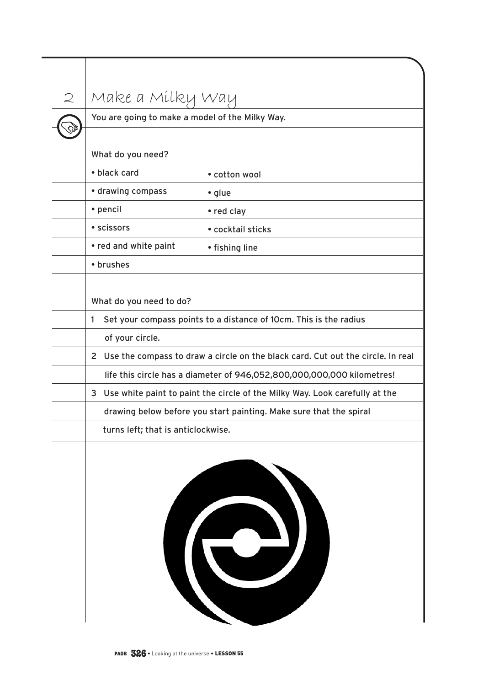| $\mathcal{Q}$ | Make a Milky Way                                                                                  |
|---------------|---------------------------------------------------------------------------------------------------|
|               | You are going to make a model of the Milky Way.                                                   |
|               |                                                                                                   |
|               | What do you need?                                                                                 |
|               | • black card<br>• cotton wool                                                                     |
|               | • drawing compass<br>• glue                                                                       |
|               | • pencil<br>• red clay                                                                            |
|               | · scissors<br>· cocktail sticks                                                                   |
|               | • red and white paint<br>• fishing line                                                           |
|               | • brushes                                                                                         |
|               |                                                                                                   |
|               | What do you need to do?                                                                           |
|               | Set your compass points to a distance of 10cm. This is the radius<br>$\mathbf{1}$                 |
|               | of your circle.                                                                                   |
|               | Use the compass to draw a circle on the black card. Cut out the circle. In real<br>2 <sup>1</sup> |
|               | life this circle has a diameter of 946,052,800,000,000,000 kilometres!                            |
|               | Use white paint to paint the circle of the Milky Way. Look carefully at the<br>3                  |
|               | drawing below before you start painting. Make sure that the spiral                                |
|               | turns left; that is anticlockwise.                                                                |
|               |                                                                                                   |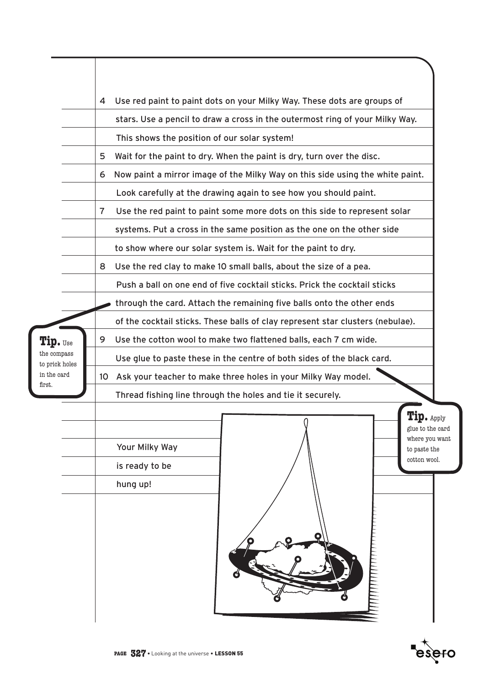|                               | Use red paint to paint dots on your Milky Way. These dots are groups of<br>4                                                            |
|-------------------------------|-----------------------------------------------------------------------------------------------------------------------------------------|
|                               | stars. Use a pencil to draw a cross in the outermost ring of your Milky Way.                                                            |
|                               | This shows the position of our solar system!                                                                                            |
|                               | Wait for the paint to dry. When the paint is dry, turn over the disc.<br>5                                                              |
|                               | Now paint a mirror image of the Milky Way on this side using the white paint.<br>6                                                      |
|                               | Look carefully at the drawing again to see how you should paint.                                                                        |
|                               | Use the red paint to paint some more dots on this side to represent solar<br>7                                                          |
|                               | systems. Put a cross in the same position as the one on the other side                                                                  |
|                               | to show where our solar system is. Wait for the paint to dry.                                                                           |
|                               | Use the red clay to make 10 small balls, about the size of a pea.<br>8                                                                  |
|                               | Push a ball on one end of five cocktail sticks. Prick the cocktail sticks                                                               |
|                               | through the card. Attach the remaining five balls onto the other ends                                                                   |
|                               | of the cocktail sticks. These balls of clay represent star clusters (nebulae).                                                          |
| Tip. Use                      | 9<br>Use the cotton wool to make two flattened balls, each 7 cm wide.                                                                   |
| the compass<br>to prick holes | Use glue to paste these in the centre of both sides of the black card.                                                                  |
| in the card<br>first.         | Ask your teacher to make three holes in your Milky Way model.<br>10                                                                     |
|                               | Thread fishing line through the holes and tie it securely.                                                                              |
|                               | <b>TIP.</b> Apply<br>glue to the card<br>where you want<br>Your Milky Way<br>to paste the<br>cotton wool.<br>is ready to be<br>hung up! |